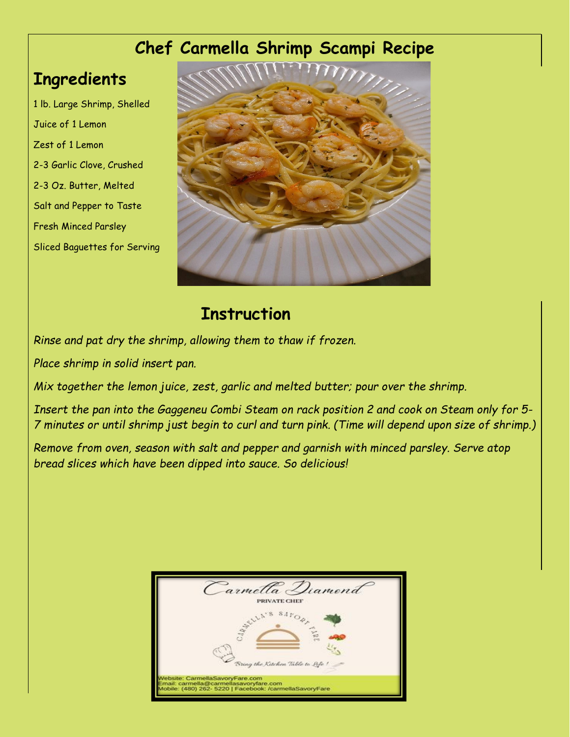## **Chef Carmella Shrimp Scampi Recipe**

## **Ingredients**

1 lb. Large Shrimp, Shelled Juice of 1 Lemon Zest of 1 Lemon 2-3 Garlic Clove, Crushed 2-3 Oz. Butter, Melted Salt and Pepper to Taste Fresh Minced Parsley Sliced Baguettes for Serving



## **Instruction**

*Rinse and pat dry the shrimp, allowing them to thaw if frozen.* 

*Place shrimp in solid insert pan.* 

*Mix together the lemon juice, zest, garlic and melted butter; pour over the shrimp.* 

*Insert the pan into the Gaggeneu Combi Steam on rack position 2 and cook on Steam only for 5- 7 minutes or until shrimp just begin to curl and turn pink. (Time will depend upon size of shrimp.)*

*Remove from oven, season with salt and pepper and garnish with minced parsley. Serve atop bread slices which have been dipped into sauce. So delicious!*